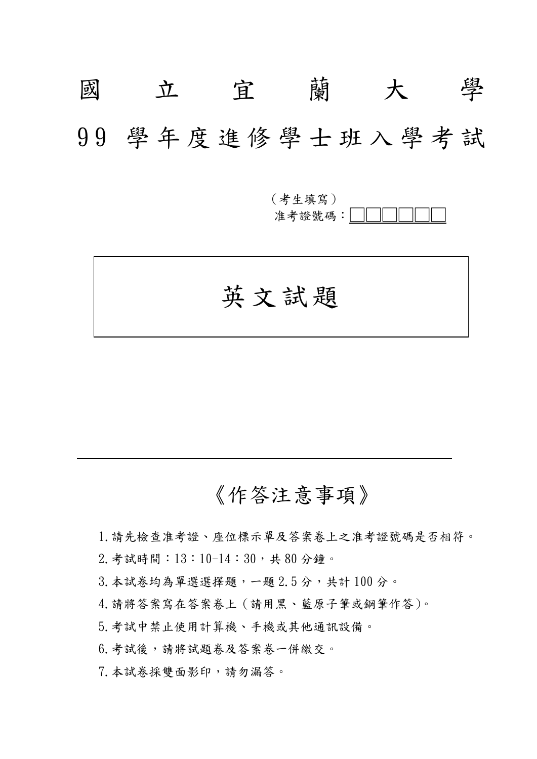# 國 立 宜 蘭 大 學 9 9 學 年 度 進 修 學 士 班 入 學 考 試

(考生填寫) 准考證號碼: |

英文試題

# 《作答注意事項》

1.請先檢查准考證、座位標示單及答案卷上之准考證號碼是否相符。

2.考試時間:13:10-14:30,共 80 分鐘。

3.本試卷均為單選選擇題,一題 2.5 分,共計 100 分。

4.請將答案寫在答案卷上(請用黑、藍原子筆或鋼筆作答)。

5.考試中禁止使用計算機、手機或其他通訊設備。

6.考試後,請將試題卷及答案卷一併繳交。

7.本試卷採雙面影印,請勿漏答。

 $\overline{\phantom{a}}$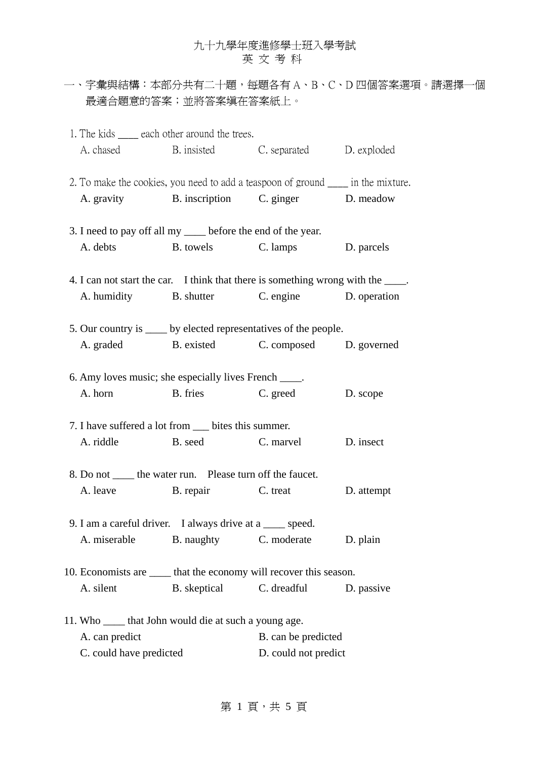一、字彙與結構:本部分共有二十題,每題各有 A、B、C、D 四個答案選項。請選擇一個 最適合題意的答案;並將答案填在答案紙上。

| 1. The kids <u>equal</u> each other around the trees.                              | A. chased B. insisted C. separated D. exploded |                        |            |
|------------------------------------------------------------------------------------|------------------------------------------------|------------------------|------------|
| 2. To make the cookies, you need to add a teaspoon of ground _____ in the mixture. | A. gravity B. inscription C. ginger D. meadow  |                        |            |
| 3. I need to pay off all my _____ before the end of the year.                      |                                                |                        |            |
|                                                                                    | A. debts B. towels C. lamps D. parcels         |                        |            |
| 4. I can not start the car. I think that there is something wrong with the _____.  |                                                |                        |            |
|                                                                                    | A. humidity B. shutter C. engine D. operation  |                        |            |
| 5. Our country is _____ by elected representatives of the people.                  |                                                |                        |            |
|                                                                                    | A. graded B. existed C. composed D. governed   |                        |            |
| 6. Amy loves music; she especially lives French _____.                             |                                                |                        |            |
|                                                                                    | A. horn B. fries C. greed                      |                        | D. scope   |
| 7. I have suffered a lot from ____ bites this summer.                              |                                                |                        |            |
|                                                                                    | A. riddle B. seed C. marvel                    |                        | D. insect  |
| 8. Do not ______ the water run. Please turn off the faucet.                        |                                                |                        |            |
|                                                                                    | A. leave B. repair C. treat                    |                        | D. attempt |
| 9. I am a careful driver. I always drive at a ____ speed.                          |                                                |                        |            |
| A. miserable                                                                       |                                                | B. naughty C. moderate | D. plain   |
| 10. Economists are _____ that the economy will recover this season.                |                                                |                        |            |
| A. silent                                                                          | B. skeptical C. dreadful                       |                        | D. passive |
| 11. Who ______ that John would die at such a young age.                            |                                                |                        |            |
| A. can predict                                                                     |                                                | B. can be predicted    |            |
| C. could have predicted                                                            |                                                | D. could not predict   |            |

第 $1$ 頁,共 $5$ 頁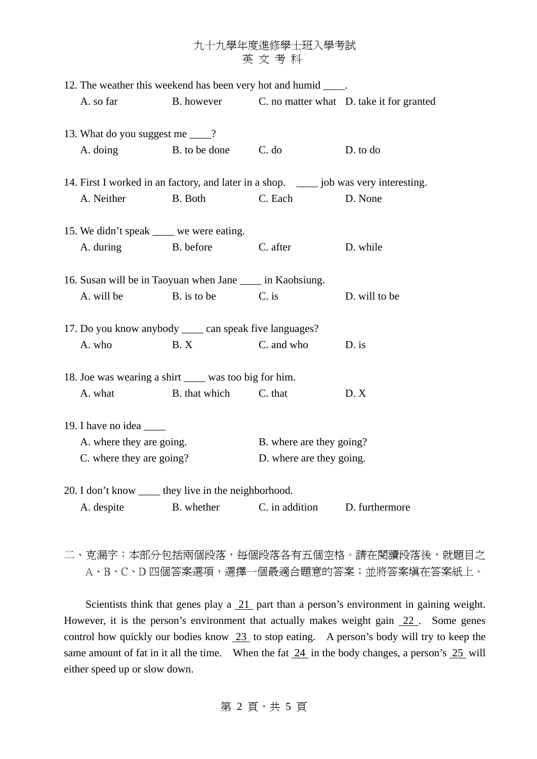| 12. The weather this weekend has been very hot and humid _____. |                                                                                         |                          |                          |                                                     |
|-----------------------------------------------------------------|-----------------------------------------------------------------------------------------|--------------------------|--------------------------|-----------------------------------------------------|
|                                                                 | A. so far                                                                               |                          |                          | B. however C. no matter what D. take it for granted |
|                                                                 |                                                                                         |                          |                          |                                                     |
|                                                                 | 13. What do you suggest me ____?                                                        |                          |                          |                                                     |
|                                                                 | A. doing                                                                                | B. to be done            | C. do                    | D. to do                                            |
|                                                                 |                                                                                         |                          |                          |                                                     |
|                                                                 | 14. First I worked in an factory, and later in a shop. ______ job was very interesting. |                          |                          |                                                     |
|                                                                 | A. Neither                                                                              | B. Both                  | C. Each                  | D. None                                             |
|                                                                 |                                                                                         |                          |                          |                                                     |
|                                                                 | 15. We didn't speak _____ we were eating.                                               |                          |                          |                                                     |
|                                                                 | A. during B. before                                                                     |                          | C. after                 | D. while                                            |
|                                                                 | 16. Susan will be in Taoyuan when Jane _____ in Kaohsiung.                              |                          |                          |                                                     |
|                                                                 |                                                                                         |                          |                          |                                                     |
|                                                                 | A. will be                                                                              | B. is to be              | $C.$ is                  | D. will to be                                       |
| 17. Do you know anybody ______ can speak five languages?        |                                                                                         |                          |                          |                                                     |
|                                                                 | A. who                                                                                  | B.X                      | C. and who               | $D.$ is                                             |
| 18. Joe was wearing a shirt _____ was too big for him.          |                                                                                         |                          |                          |                                                     |
|                                                                 | A. what                                                                                 | B. that which            | C. that                  | D. X                                                |
|                                                                 |                                                                                         |                          |                          |                                                     |
|                                                                 |                                                                                         |                          |                          |                                                     |
| A. where they are going.                                        |                                                                                         | B. where are they going? |                          |                                                     |
|                                                                 | C. where they are going?                                                                |                          | D. where are they going. |                                                     |
|                                                                 |                                                                                         |                          |                          |                                                     |
|                                                                 | 20. I don't know _____ they live in the neighborhood.                                   |                          |                          |                                                     |
|                                                                 | A. despite                                                                              | B. whether               | C. in addition           | D. furthermore                                      |
|                                                                 |                                                                                         |                          |                          |                                                     |

二、克漏字:本部分包括兩個段落,每個段落各有五個空格。請在閱讀段落後,就題目之 A、B、C、D 四個答案選項,選擇一個最適合題意的答案;並將答案填在答案紙上。

Scientists think that genes play a  $21$  part than a person's environment in gaining weight. However, it is the person's environment that actually makes weight gain 22. Some genes control how quickly our bodies know 23 to stop eating. A person's body will try to keep the same amount of fat in it all the time. When the fat  $\frac{24}{10}$  in the body changes, a person's  $\frac{25}{10}$  will either speed up or slow down.

第 2 頁,共 5 頁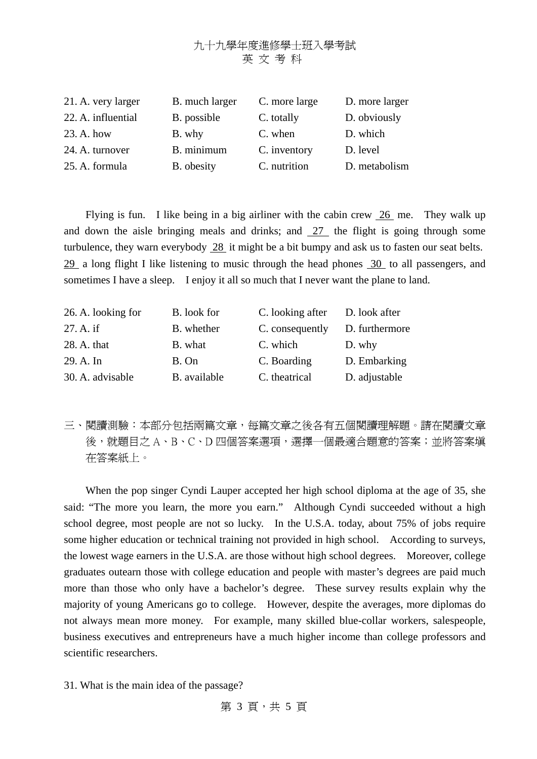| 21. A. very larger | B. much larger | C. more large | D. more larger |
|--------------------|----------------|---------------|----------------|
| 22. A. influential | B. possible    | C. totally    | D. obviously   |
| 23. A. how         | B. why         | C. when       | D. which       |
| 24. A. turnover    | B. minimum     | C. inventory  | D. level       |
| 25. A. formula     | B. obesity     | C. nutrition  | D. metabolism  |

 Flying is fun. I like being in a big airliner with the cabin crew 26 me. They walk up and down the aisle bringing meals and drinks; and  $27$  the flight is going through some turbulence, they warn everybody 28 it might be a bit bumpy and ask us to fasten our seat belts. 29 a long flight I like listening to music through the head phones 30 to all passengers, and sometimes I have a sleep. I enjoy it all so much that I never want the plane to land.

| 26. A. looking for | B. look for  | C. looking after | D. look after  |
|--------------------|--------------|------------------|----------------|
| 27. A. if          | B. whether   | C. consequently  | D. furthermore |
| 28. A. that        | B. what      | C. which         | D. why         |
| 29. A. In          | B. On        | C. Boarding      | D. Embarking   |
| 30. A. advisable   | B. available | C. theatrical    | D. adjustable  |

三、閱讀測驗:本部分包括兩篇文章,每篇文章之後各有五個閱讀理解題。請在閱讀文章 後,就題目之A、B、C、D 四個答案選項,選擇一個最適合題意的答案;並將答案填 在答案紙上。

When the pop singer Cyndi Lauper accepted her high school diploma at the age of 35, she said: "The more you learn, the more you earn." Although Cyndi succeeded without a high school degree, most people are not so lucky. In the U.S.A. today, about 75% of jobs require some higher education or technical training not provided in high school. According to surveys, the lowest wage earners in the U.S.A. are those without high school degrees. Moreover, college graduates outearn those with college education and people with master's degrees are paid much more than those who only have a bachelor's degree. These survey results explain why the majority of young Americans go to college. However, despite the averages, more diplomas do not always mean more money. For example, many skilled blue-collar workers, salespeople, business executives and entrepreneurs have a much higher income than college professors and scientific researchers.

31. What is the main idea of the passage?

第 3 頁, 共 5 頁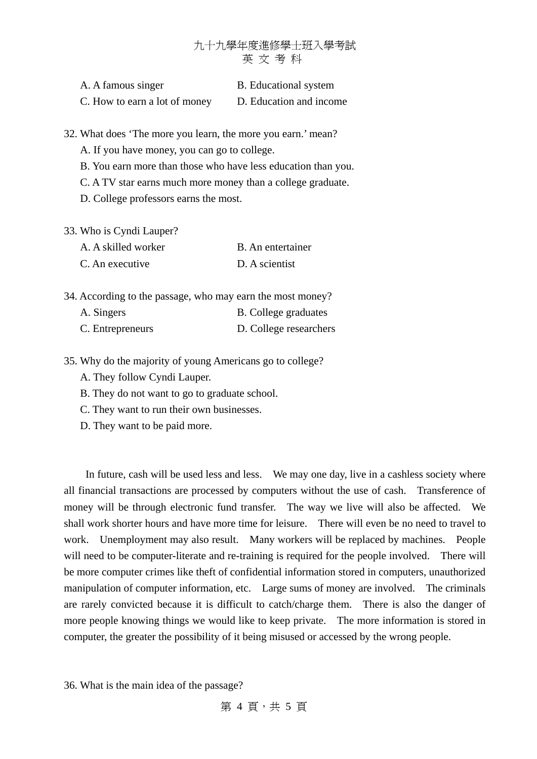| A. A famous singer            | <b>B.</b> Educational system |
|-------------------------------|------------------------------|
| C. How to earn a lot of money | D. Education and income      |

32. What does 'The more you learn, the more you earn.' mean?

- A. If you have money, you can go to college.
- B. You earn more than those who have less education than you.
- C. A TV star earns much more money than a college graduate.
- D. College professors earns the most.
- 33. Who is Cyndi Lauper?

| A. A skilled worker | B. An entertainer |
|---------------------|-------------------|
| C. An executive     | D. A scientist    |

34. According to the passage, who may earn the most money?

| A. Singers       | <b>B.</b> College graduates |
|------------------|-----------------------------|
| C. Entrepreneurs | D. College researchers      |

- 35. Why do the majority of young Americans go to college?
	- A. They follow Cyndi Lauper.
	- B. They do not want to go to graduate school.
	- C. They want to run their own businesses.
	- D. They want to be paid more.

In future, cash will be used less and less. We may one day, live in a cashless society where all financial transactions are processed by computers without the use of cash. Transference of money will be through electronic fund transfer. The way we live will also be affected. We shall work shorter hours and have more time for leisure. There will even be no need to travel to work. Unemployment may also result. Many workers will be replaced by machines. People will need to be computer-literate and re-training is required for the people involved. There will be more computer crimes like theft of confidential information stored in computers, unauthorized manipulation of computer information, etc. Large sums of money are involved. The criminals are rarely convicted because it is difficult to catch/charge them. There is also the danger of more people knowing things we would like to keep private. The more information is stored in computer, the greater the possibility of it being misused or accessed by the wrong people.

36. What is the main idea of the passage?

第 4 百, 共 5 百